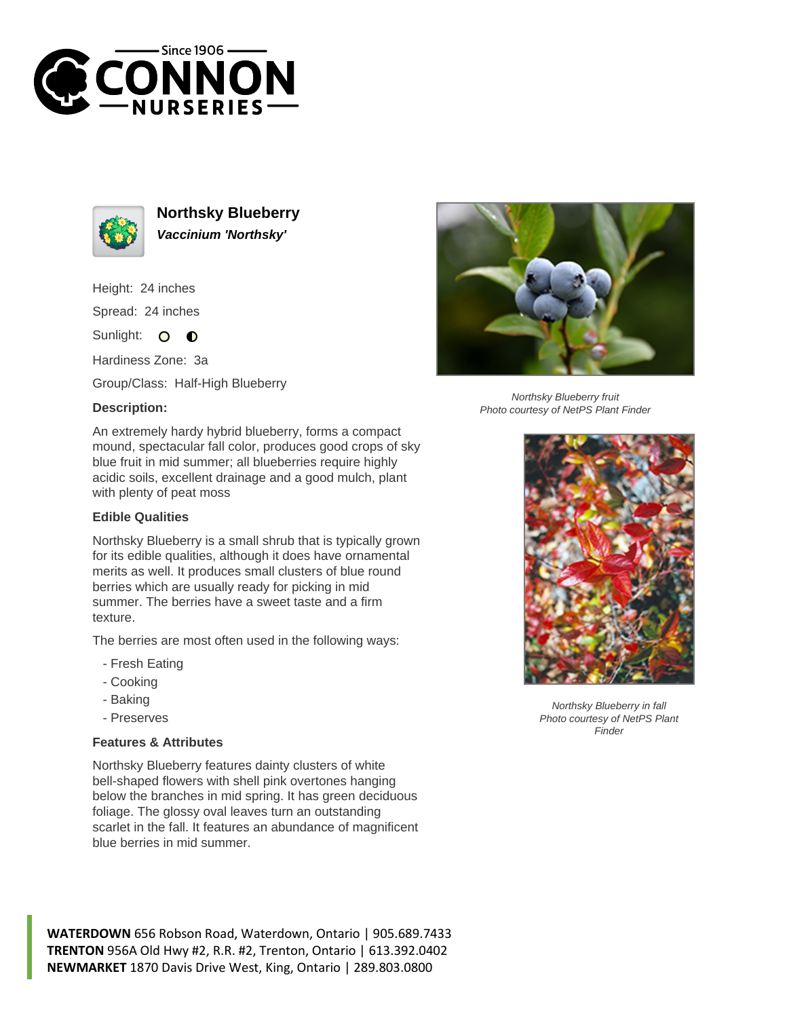



**Northsky Blueberry Vaccinium 'Northsky'**

Height: 24 inches Spread: 24 inches

Sunlight:  $\bullet$  $\bullet$ 

Hardiness Zone: 3a

Group/Class: Half-High Blueberry

## **Description:**



## **Edible Qualities**

Northsky Blueberry is a small shrub that is typically grown for its edible qualities, although it does have ornamental merits as well. It produces small clusters of blue round berries which are usually ready for picking in mid summer. The berries have a sweet taste and a firm texture.

The berries are most often used in the following ways:

- Fresh Eating
- Cooking
- Baking
- Preserves

## **Features & Attributes**

Northsky Blueberry features dainty clusters of white bell-shaped flowers with shell pink overtones hanging below the branches in mid spring. It has green deciduous foliage. The glossy oval leaves turn an outstanding scarlet in the fall. It features an abundance of magnificent blue berries in mid summer.



Northsky Blueberry fruit Photo courtesy of NetPS Plant Finder



Northsky Blueberry in fall Photo courtesy of NetPS Plant Finder

**WATERDOWN** 656 Robson Road, Waterdown, Ontario | 905.689.7433 **TRENTON** 956A Old Hwy #2, R.R. #2, Trenton, Ontario | 613.392.0402 **NEWMARKET** 1870 Davis Drive West, King, Ontario | 289.803.0800